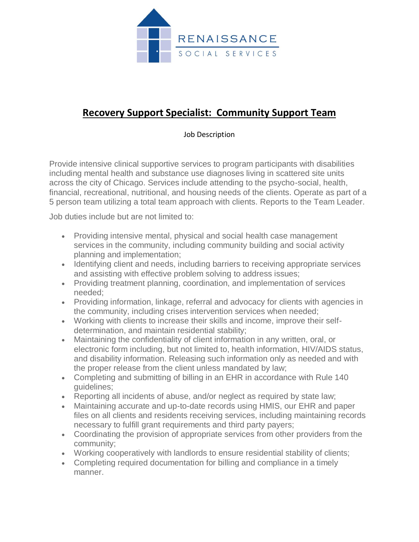

## **Recovery Support Specialist: Community Support Team**

## Job Description

Provide intensive clinical supportive services to program participants with disabilities including mental health and substance use diagnoses living in scattered site units across the city of Chicago. Services include attending to the psycho-social, health, financial, recreational, nutritional, and housing needs of the clients. Operate as part of a 5 person team utilizing a total team approach with clients. Reports to the Team Leader.

Job duties include but are not limited to:

- Providing intensive mental, physical and social health case management services in the community, including community building and social activity planning and implementation;
- Identifying client and needs, including barriers to receiving appropriate services and assisting with effective problem solving to address issues;
- Providing treatment planning, coordination, and implementation of services needed;
- Providing information, linkage, referral and advocacy for clients with agencies in the community, including crises intervention services when needed;
- Working with clients to increase their skills and income, improve their selfdetermination, and maintain residential stability;
- Maintaining the confidentiality of client information in any written, oral, or electronic form including, but not limited to, health information, HIV/AIDS status, and disability information. Releasing such information only as needed and with the proper release from the client unless mandated by law;
- Completing and submitting of billing in an EHR in accordance with Rule 140 guidelines;
- Reporting all incidents of abuse, and/or neglect as required by state law;
- Maintaining accurate and up-to-date records using HMIS, our EHR and paper files on all clients and residents receiving services, including maintaining records necessary to fulfill grant requirements and third party payers;
- Coordinating the provision of appropriate services from other providers from the community;
- Working cooperatively with landlords to ensure residential stability of clients;
- Completing required documentation for billing and compliance in a timely manner.